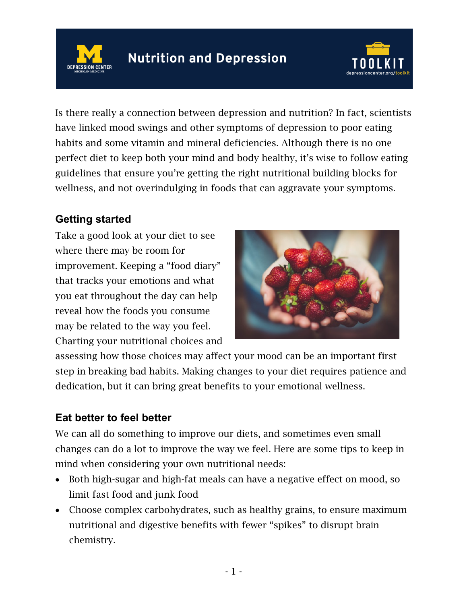



Is there really a connection between depression and nutrition? In fact, scientists have linked mood swings and other symptoms of depression to poor eating habits and some vitamin and mineral deficiencies. Although there is no one perfect diet to keep both your mind and body healthy, it's wise to follow eating guidelines that ensure you're getting the right nutritional building blocks for wellness, and not overindulging in foods that can aggravate your symptoms.

## **Getting started**

Take a good look at your diet to see where there may be room for improvement. Keeping a "food diary" that tracks your emotions and what you eat throughout the day can help reveal how the foods you consume may be related to the way you feel. Charting your nutritional choices and



assessing how those choices may affect your mood can be an important first step in breaking bad habits. Making changes to your diet requires patience and dedication, but it can bring great benefits to your emotional wellness.

## **Eat better to feel better**

We can all do something to improve our diets, and sometimes even small changes can do a lot to improve the way we feel. Here are some tips to keep in mind when considering your own nutritional needs:

- Both high-sugar and high-fat meals can have a negative effect on mood, so limit fast food and junk food
- Choose complex carbohydrates, such as healthy grains, to ensure maximum nutritional and digestive benefits with fewer "spikes" to disrupt brain chemistry.